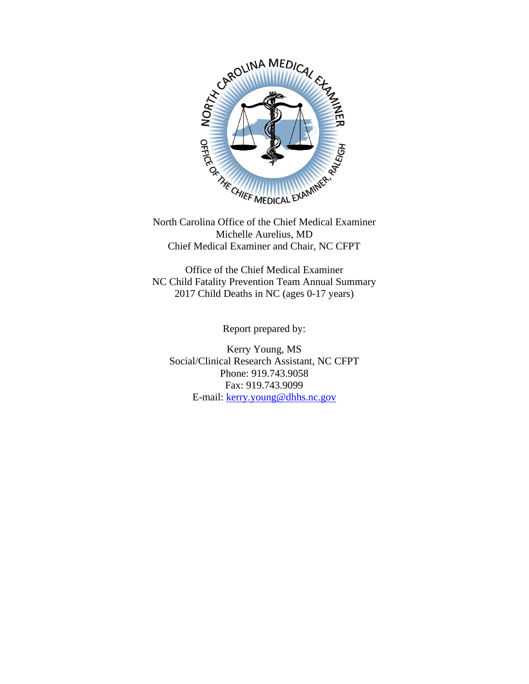

North Carolina Office of the Chief Medical Examiner Michelle Aurelius, MD Chief Medical Examiner and Chair, NC CFPT

Office of the Chief Medical Examiner NC Child Fatality Prevention Team Annual Summary 2017 Child Deaths in NC (ages 0-17 years)

Report prepared by:

Kerry Young, MS Social/Clinical Research Assistant, NC CFPT Phone: 919.743.9058 Fax: 919.743.9099 E-mail: [kerry.young@dhhs.nc.gov](mailto:kerry.young@dhhs.nc.gov)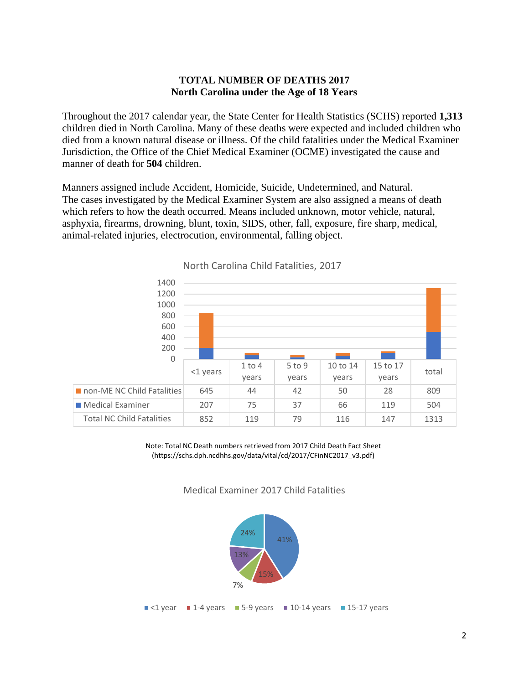### **TOTAL NUMBER OF DEATHS 2017 North Carolina under the Age of 18 Years**

Throughout the 2017 calendar year, the State Center for Health Statistics (SCHS) reported **1,313** children died in North Carolina. Many of these deaths were expected and included children who died from a known natural disease or illness. Of the child fatalities under the Medical Examiner Jurisdiction, the Office of the Chief Medical Examiner (OCME) investigated the cause and manner of death for **504** children.

Manners assigned include Accident, Homicide, Suicide, Undetermined, and Natural. The cases investigated by the Medical Examiner System are also assigned a means of death which refers to how the death occurred. Means included unknown, motor vehicle, natural, asphyxia, firearms, drowning, blunt, toxin, SIDS, other, fall, exposure, fire sharp, medical, animal-related injuries, electrocution, environmental, falling object.



North Carolina Child Fatalities, 2017

Note: Total NC Death numbers retrieved from 2017 Child Death Fact Sheet (https://schs.dph.ncdhhs.gov/data/vital/cd/2017/CFinNC2017\_v3.pdf)

Medical Examiner 2017 Child Fatalities

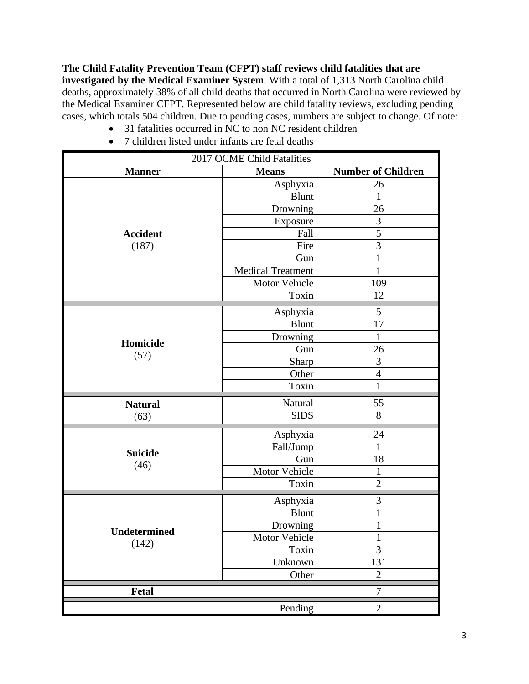**The Child Fatality Prevention Team (CFPT) staff reviews child fatalities that are investigated by the Medical Examiner System**. With a total of 1,313 North Carolina child deaths, approximately 38% of all child deaths that occurred in North Carolina were reviewed by the Medical Examiner CFPT. Represented below are child fatality reviews, excluding pending cases, which totals 504 children. Due to pending cases, numbers are subject to change. Of note:

- 31 fatalities occurred in NC to non NC resident children
- 7 children listed under infants are fetal deaths

| 2017 OCME Child Fatalities |                   |                           |  |  |
|----------------------------|-------------------|---------------------------|--|--|
| <b>Manner</b>              | <b>Means</b>      | <b>Number of Children</b> |  |  |
|                            | Asphyxia          | 26                        |  |  |
|                            | <b>Blunt</b>      | 1                         |  |  |
|                            | Drowning          | 26                        |  |  |
|                            | Exposure          | 3                         |  |  |
| <b>Accident</b>            | Fall              | 5                         |  |  |
| (187)                      | Fire              | 3                         |  |  |
|                            | Gun               | $\mathbf{1}$              |  |  |
|                            | Medical Treatment | $\mathbf{1}$              |  |  |
|                            | Motor Vehicle     | 109                       |  |  |
|                            | Toxin             | 12                        |  |  |
|                            | Asphyxia          | 5                         |  |  |
|                            | <b>Blunt</b>      | 17                        |  |  |
|                            | Drowning          | 1                         |  |  |
| Homicide                   | Gun               | 26                        |  |  |
| (57)                       | Sharp             | $\mathfrak{Z}$            |  |  |
|                            | Other             | $\overline{4}$            |  |  |
|                            | Toxin             | $\mathbf 1$               |  |  |
| <b>Natural</b>             | Natural           | 55                        |  |  |
| (63)                       | <b>SIDS</b>       | 8                         |  |  |
|                            |                   |                           |  |  |
|                            | Asphyxia          | 24                        |  |  |
| <b>Suicide</b>             | Fall/Jump         | $\mathbf{1}$              |  |  |
| (46)                       | Gun               | 18                        |  |  |
|                            | Motor Vehicle     | 1                         |  |  |
|                            | Toxin             | $\overline{2}$            |  |  |
|                            | Asphyxia          | 3                         |  |  |
|                            | <b>Blunt</b>      | 1                         |  |  |
| <b>Undetermined</b>        | Drowning          | 1                         |  |  |
|                            | Motor Vehicle     | $\mathbf{1}$              |  |  |
| (142)                      | Toxin             | 3                         |  |  |
|                            | Unknown           | 131                       |  |  |
|                            | Other             | $\overline{2}$            |  |  |
| Fetal                      |                   | $\tau$                    |  |  |
|                            | Pending           | $\overline{2}$            |  |  |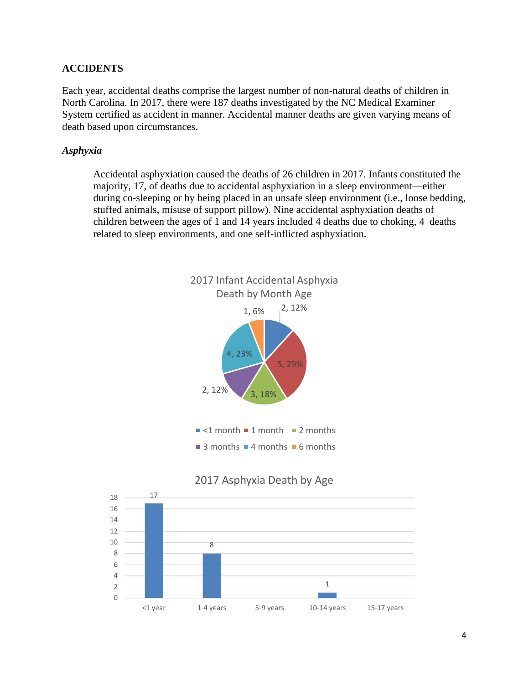### **ACCIDENTS**

Each year, accidental deaths comprise the largest number of non-natural deaths of children in North Carolina. In 2017, there were 187 deaths investigated by the NC Medical Examiner System certified as accident in manner. Accidental manner deaths are given varying means of death based upon circumstances.

#### *Asphyxia*

Accidental asphyxiation caused the deaths of 26 children in 2017. Infants constituted the majority, 17, of deaths due to accidental asphyxiation in a sleep environment—either during co-sleeping or by being placed in an unsafe sleep environment (i.e., loose bedding, stuffed animals, misuse of support pillow). Nine accidental asphyxiation deaths of children between the ages of 1 and 14 years included 4 deaths due to choking, 4 deaths related to sleep environments, and one self-inflicted asphyxiation.

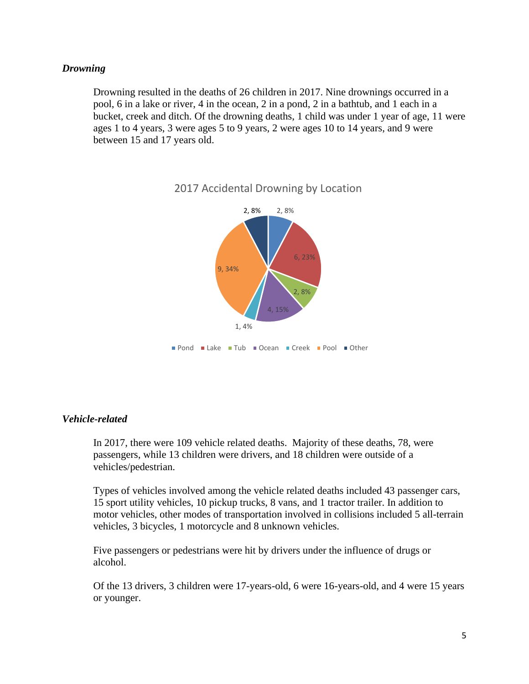#### *Drowning*

Drowning resulted in the deaths of 26 children in 2017. Nine drownings occurred in a pool, 6 in a lake or river, 4 in the ocean, 2 in a pond, 2 in a bathtub, and 1 each in a bucket, creek and ditch. Of the drowning deaths, 1 child was under 1 year of age, 11 were ages 1 to 4 years, 3 were ages 5 to 9 years, 2 were ages 10 to 14 years, and 9 were between 15 and 17 years old.



## 2017 Accidental Drowning by Location

#### *Vehicle-related*

In 2017, there were 109 vehicle related deaths. Majority of these deaths, 78, were passengers, while 13 children were drivers, and 18 children were outside of a vehicles/pedestrian.

Types of vehicles involved among the vehicle related deaths included 43 passenger cars, 15 sport utility vehicles, 10 pickup trucks, 8 vans, and 1 tractor trailer. In addition to motor vehicles, other modes of transportation involved in collisions included 5 all-terrain vehicles, 3 bicycles, 1 motorcycle and 8 unknown vehicles.

Five passengers or pedestrians were hit by drivers under the influence of drugs or alcohol.

Of the 13 drivers, 3 children were 17-years-old, 6 were 16-years-old, and 4 were 15 years or younger.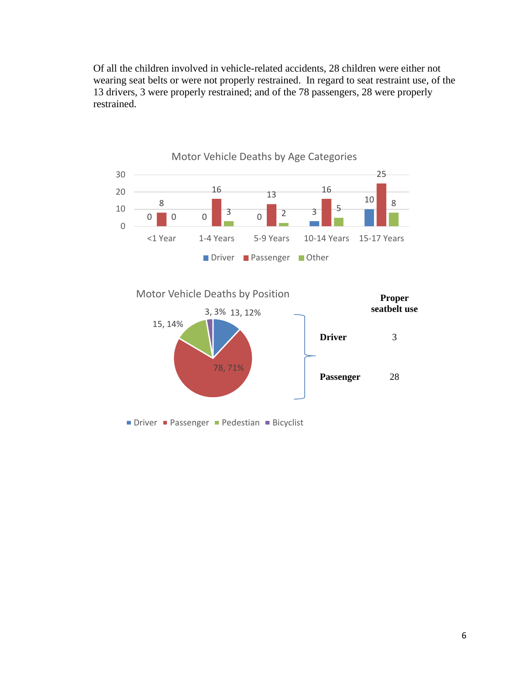Of all the children involved in vehicle-related accidents, 28 children were either not wearing seat belts or were not properly restrained. In regard to seat restraint use, of the 13 drivers, 3 were properly restrained; and of the 78 passengers, 28 were properly restrained.



6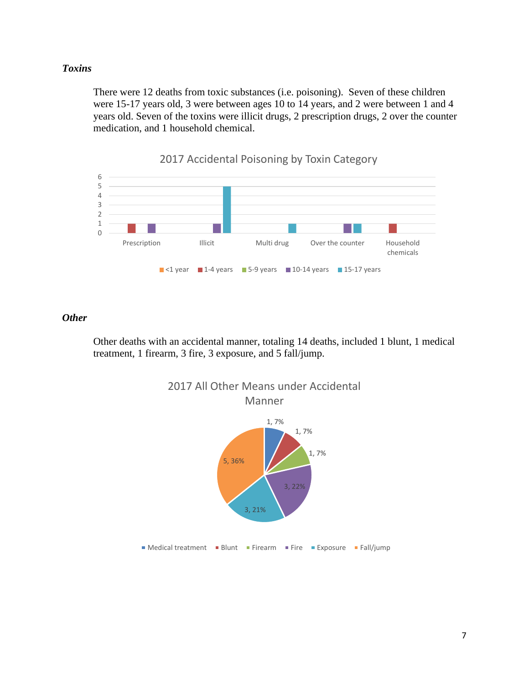### *Toxins*

There were 12 deaths from toxic substances (i.e. poisoning). Seven of these children were 15-17 years old, 3 were between ages 10 to 14 years, and 2 were between 1 and 4 years old. Seven of the toxins were illicit drugs, 2 prescription drugs, 2 over the counter medication, and 1 household chemical.



*Other*

Other deaths with an accidental manner, totaling 14 deaths, included 1 blunt, 1 medical treatment, 1 firearm, 3 fire, 3 exposure, and 5 fall/jump.

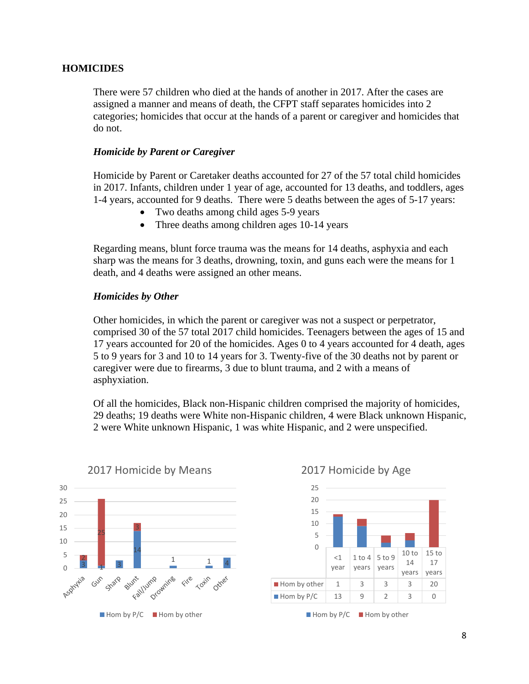#### **HOMICIDES**

There were 57 children who died at the hands of another in 2017. After the cases are assigned a manner and means of death, the CFPT staff separates homicides into 2 categories; homicides that occur at the hands of a parent or caregiver and homicides that do not.

#### *Homicide by Parent or Caregiver*

Homicide by Parent or Caretaker deaths accounted for 27 of the 57 total child homicides in 2017. Infants, children under 1 year of age, accounted for 13 deaths, and toddlers, ages 1-4 years, accounted for 9 deaths. There were 5 deaths between the ages of 5-17 years:

- Two deaths among child ages 5-9 years
- Three deaths among children ages 10-14 years

Regarding means, blunt force trauma was the means for 14 deaths, asphyxia and each sharp was the means for 3 deaths, drowning, toxin, and guns each were the means for 1 death, and 4 deaths were assigned an other means.

#### *Homicides by Other*

Other homicides, in which the parent or caregiver was not a suspect or perpetrator, comprised 30 of the 57 total 2017 child homicides. Teenagers between the ages of 15 and 17 years accounted for 20 of the homicides. Ages 0 to 4 years accounted for 4 death, ages 5 to 9 years for 3 and 10 to 14 years for 3. Twenty-five of the 30 deaths not by parent or caregiver were due to firearms, 3 due to blunt trauma, and 2 with a means of asphyxiation.

Of all the homicides, Black non-Hispanic children comprised the majority of homicides, 29 deaths; 19 deaths were White non-Hispanic children, 4 were Black unknown Hispanic, 2 were White unknown Hispanic, 1 was white Hispanic, and 2 were unspecified.





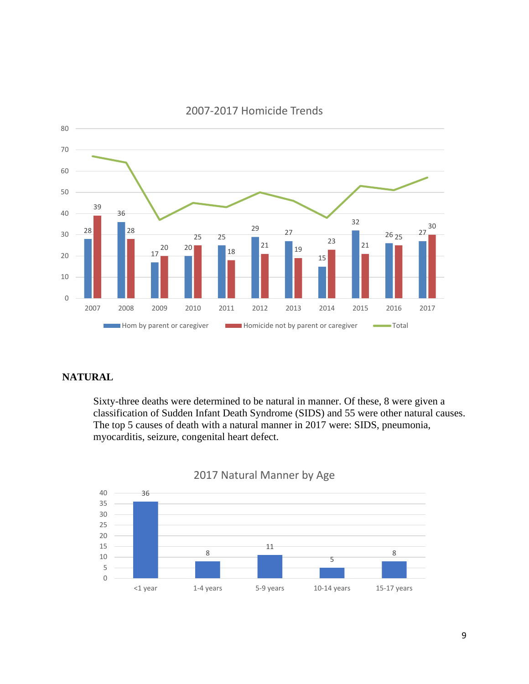

## 2007-2017 Homicide Trends

### **NATURAL**

Sixty-three deaths were determined to be natural in manner. Of these, 8 were given a classification of Sudden Infant Death Syndrome (SIDS) and 55 were other natural causes. The top 5 causes of death with a natural manner in 2017 were: SIDS, pneumonia, myocarditis, seizure, congenital heart defect.



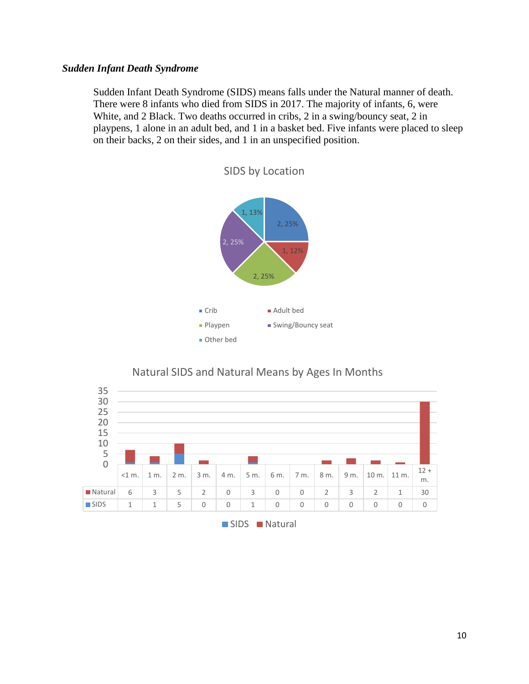#### *Sudden Infant Death Syndrome*

Sudden Infant Death Syndrome (SIDS) means falls under the Natural manner of death. There were 8 infants who died from SIDS in 2017. The majority of infants, 6, were White, and 2 Black. Two deaths occurred in cribs, 2 in a swing/bouncy seat, 2 in playpens, 1 alone in an adult bed, and 1 in a basket bed. Five infants were placed to sleep on their backs, 2 on their sides, and 1 in an unspecified position.



SIDS by Location

## Natural SIDS and Natural Means by Ages In Months



#### SIDS Natural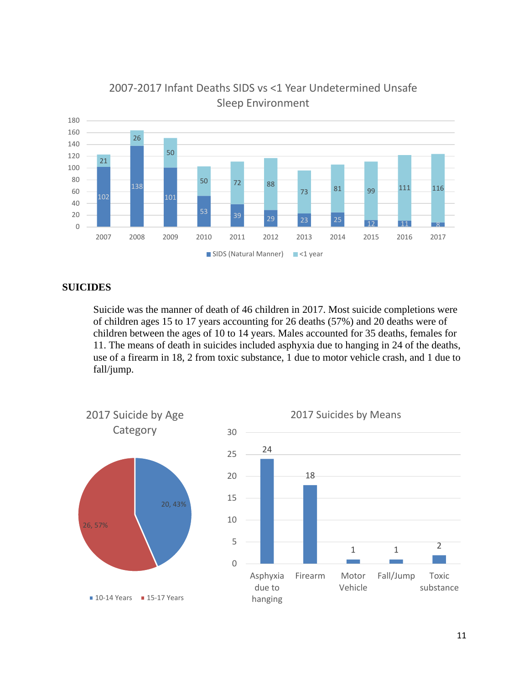

## 2007-2017 Infant Deaths SIDS vs <1 Year Undetermined Unsafe Sleep Environment

## **SUICIDES**

Suicide was the manner of death of 46 children in 2017. Most suicide completions were of children ages 15 to 17 years accounting for 26 deaths (57%) and 20 deaths were of children between the ages of 10 to 14 years. Males accounted for 35 deaths, females for 11. The means of death in suicides included asphyxia due to hanging in 24 of the deaths, use of a firearm in 18, 2 from toxic substance, 1 due to motor vehicle crash, and 1 due to fall/jump.

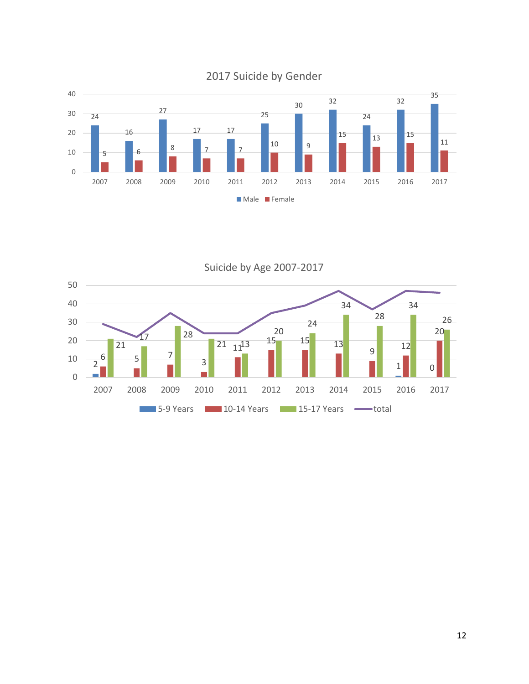

Suicide by Age 2007-2017

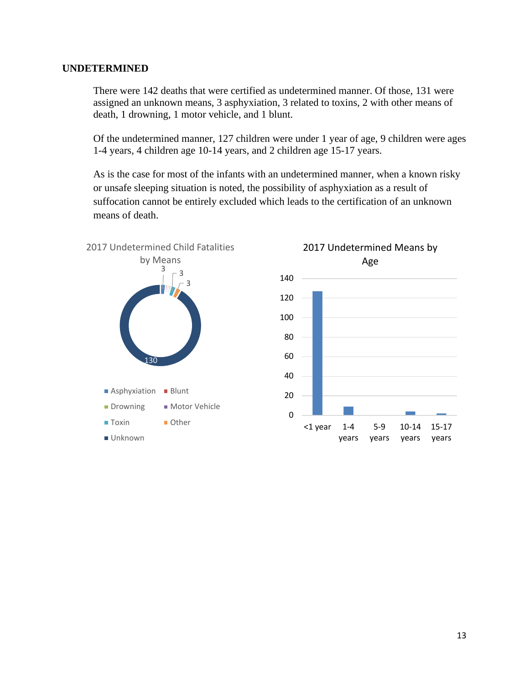#### **UNDETERMINED**

There were 142 deaths that were certified as undetermined manner. Of those, 131 were assigned an unknown means, 3 asphyxiation, 3 related to toxins, 2 with other means of death, 1 drowning, 1 motor vehicle, and 1 blunt.

Of the undetermined manner, 127 children were under 1 year of age, 9 children were ages 1-4 years, 4 children age 10-14 years, and 2 children age 15-17 years.

As is the case for most of the infants with an undetermined manner, when a known risky or unsafe sleeping situation is noted, the possibility of asphyxiation as a result of suffocation cannot be entirely excluded which leads to the certification of an unknown means of death.

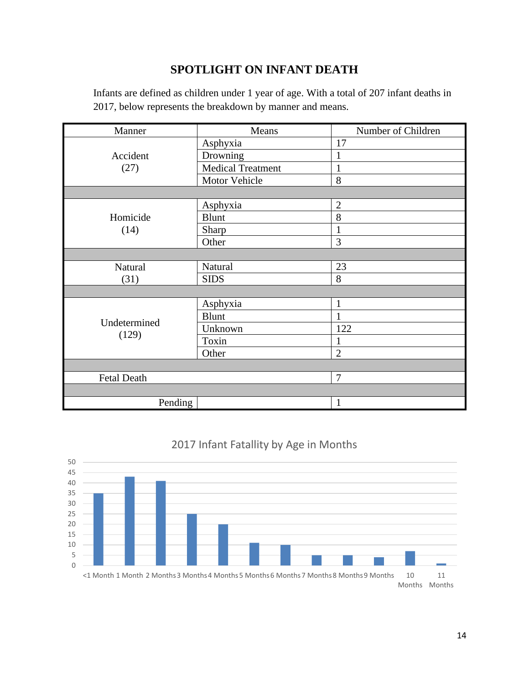## **SPOTLIGHT ON INFANT DEATH**

Infants are defined as children under 1 year of age. With a total of 207 infant deaths in 2017, below represents the breakdown by manner and means.

| Manner                | Means                    | Number of Children |  |  |
|-----------------------|--------------------------|--------------------|--|--|
|                       | Asphyxia                 | 17                 |  |  |
| Accident<br>(27)      | Drowning                 | $\mathbf{1}$       |  |  |
|                       | <b>Medical Treatment</b> | 1                  |  |  |
|                       | Motor Vehicle            | 8                  |  |  |
|                       |                          |                    |  |  |
| Homicide<br>(14)      | Asphyxia                 | $\overline{2}$     |  |  |
|                       | <b>Blunt</b>             | 8                  |  |  |
|                       | Sharp                    | 1                  |  |  |
|                       | Other                    | 3                  |  |  |
|                       |                          |                    |  |  |
| Natural               | Natural                  | 23                 |  |  |
| (31)                  | <b>SIDS</b>              | 8                  |  |  |
|                       |                          |                    |  |  |
| Undetermined<br>(129) | Asphyxia                 | 1                  |  |  |
|                       | <b>Blunt</b>             | $\mathbf{1}$       |  |  |
|                       | Unknown                  | 122                |  |  |
|                       | Toxin                    | 1                  |  |  |
|                       | Other                    | $\overline{2}$     |  |  |
|                       |                          |                    |  |  |
| <b>Fetal Death</b>    |                          | 7                  |  |  |
|                       |                          |                    |  |  |
| Pending               |                          | 1                  |  |  |



## 2017 Infant Fatallity by Age in Months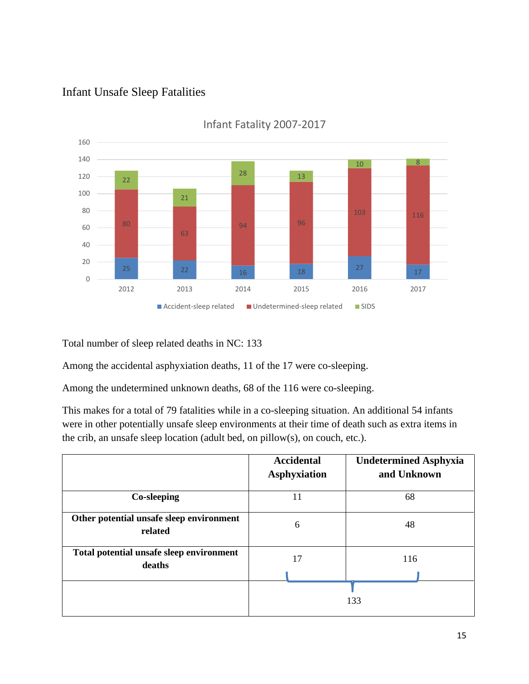## Infant Unsafe Sleep Fatalities



Infant Fatality 2007-2017

Total number of sleep related deaths in NC: 133

Among the accidental asphyxiation deaths, 11 of the 17 were co-sleeping.

Among the undetermined unknown deaths, 68 of the 116 were co-sleeping.

This makes for a total of 79 fatalities while in a co-sleeping situation. An additional 54 infants were in other potentially unsafe sleep environments at their time of death such as extra items in the crib, an unsafe sleep location (adult bed, on pillow(s), on couch, etc.).

|                                                     | <b>Accidental</b><br><b>Asphyxiation</b> | <b>Undetermined Asphyxia</b><br>and Unknown |
|-----------------------------------------------------|------------------------------------------|---------------------------------------------|
| Co-sleeping                                         | 11                                       | 68                                          |
| Other potential unsafe sleep environment<br>related | 6                                        | 48                                          |
| Total potential unsafe sleep environment<br>deaths  | 17                                       | 116                                         |
|                                                     |                                          | 133                                         |